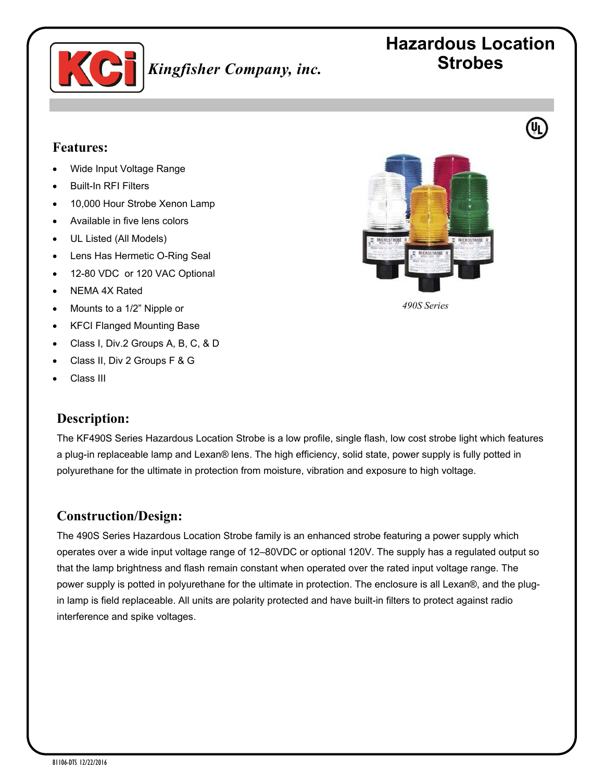

# **Hazardous Location Strobes**

## **Features:**

- Wide Input Voltage Range
- Built-In RFI Filters
- 10,000 Hour Strobe Xenon Lamp
- Available in five lens colors
- UL Listed (All Models)
- Lens Has Hermetic O-Ring Seal
- 12-80 VDC or 120 VAC Optional
- NEMA 4X Rated
- Mounts to a 1/2" Nipple or
- KFCI Flanged Mounting Base
- Class I, Div.2 Groups A, B, C, & D
- Class II, Div 2 Groups F & G
- Class III

### **Description:**

The KF490S Series Hazardous Location Strobe is a low profile, single flash, low cost strobe light which features a plug-in replaceable lamp and Lexan® lens. The high efficiency, solid state, power supply is fully potted in polyurethane for the ultimate in protection from moisture, vibration and exposure to high voltage.

### **Construction/Design:**

The 490S Series Hazardous Location Strobe family is an enhanced strobe featuring a power supply which operates over a wide input voltage range of 12–80VDC or optional 120V. The supply has a regulated output so that the lamp brightness and flash remain constant when operated over the rated input voltage range. The power supply is potted in polyurethane for the ultimate in protection. The enclosure is all Lexan®, and the plugin lamp is field replaceable. All units are polarity protected and have built-in filters to protect against radio interference and spike voltages.



*490S Series*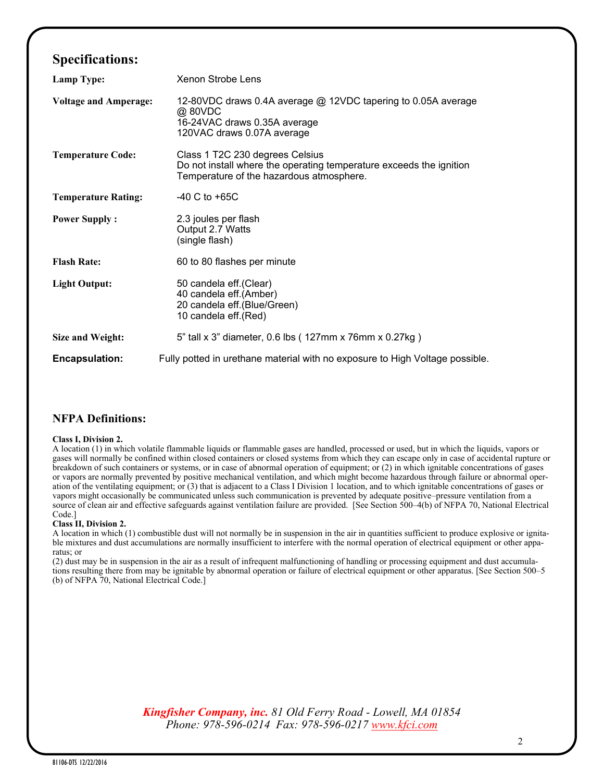# **Specifications:**

| Lamp Type:                   | <b>Xenon Strobe Lens</b>                                                                                                                           |
|------------------------------|----------------------------------------------------------------------------------------------------------------------------------------------------|
| <b>Voltage and Amperage:</b> | 12-80VDC draws 0.4A average @ 12VDC tapering to 0.05A average<br>@ 80VDC<br>16-24VAC draws 0.35A average<br>120VAC draws 0.07A average             |
| <b>Temperature Code:</b>     | Class 1 T2C 230 degrees Celsius<br>Do not install where the operating temperature exceeds the ignition<br>Temperature of the hazardous atmosphere. |
| <b>Temperature Rating:</b>   | $-40$ C to $+65C$                                                                                                                                  |
| <b>Power Supply:</b>         | 2.3 joules per flash<br>Output 2.7 Watts<br>(single flash)                                                                                         |
| <b>Flash Rate:</b>           | 60 to 80 flashes per minute                                                                                                                        |
| <b>Light Output:</b>         | 50 candela eff. (Clear)<br>40 candela eff.(Amber)<br>20 candela eff.(Blue/Green)<br>10 candela eff.(Red)                                           |
| Size and Weight:             | 5" tall x 3" diameter, 0.6 lbs (127mm x 76mm x 0.27kg)                                                                                             |
| <b>Encapsulation:</b>        | Fully potted in urethane material with no exposure to High Voltage possible.                                                                       |

### **NFPA Definitions:**

#### **Class I, Division 2.**

A location (1) in which volatile flammable liquids or flammable gases are handled, processed or used, but in which the liquids, vapors or gases will normally be confined within closed containers or closed systems from which they can escape only in case of accidental rupture or breakdown of such containers or systems, or in case of abnormal operation of equipment; or (2) in which ignitable concentrations of gases or vapors are normally prevented by positive mechanical ventilation, and which might become hazardous through failure or abnormal operation of the ventilating equipment; or (3) that is adjacent to a Class I Division 1 location, and to which ignitable concentrations of gases or vapors might occasionally be communicated unless such communication is prevented by adequate positive–pressure ventilation from a source of clean air and effective safeguards against ventilation failure are provided. [See Section 500–4(b) of NFPA 70, National Electrical Code.]

#### **Class II, Division 2.**

A location in which (1) combustible dust will not normally be in suspension in the air in quantities sufficient to produce explosive or ignitable mixtures and dust accumulations are normally insufficient to interfere with the normal operation of electrical equipment or other apparatus; or

(2) dust may be in suspension in the air as a result of infrequent malfunctioning of handling or processing equipment and dust accumulations resulting there from may be ignitable by abnormal operation or failure of electrical equipment or other apparatus. [See Section 500–5 (b) of NFPA 70, National Electrical Code.]

> *Kingfisher Company, inc. 81 Old Ferry Road - Lowell, MA 01854 Phone: 978-596-0214 Fax: 978-596-0217 [www.kfci.com](http://www.kfci.com/)*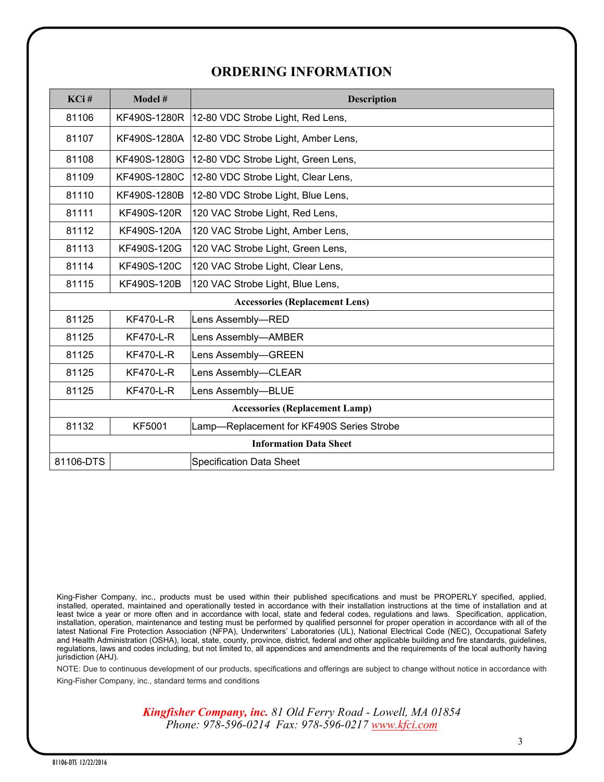# **ORDERING INFORMATION**

| KCi#                                  | Model #          | <b>Description</b>                        |
|---------------------------------------|------------------|-------------------------------------------|
| 81106                                 | KF490S-1280R     | 12-80 VDC Strobe Light, Red Lens,         |
| 81107                                 | KF490S-1280A     | 12-80 VDC Strobe Light, Amber Lens,       |
| 81108                                 | KF490S-1280G     | 12-80 VDC Strobe Light, Green Lens,       |
| 81109                                 | KF490S-1280C     | 12-80 VDC Strobe Light, Clear Lens,       |
| 81110                                 | KF490S-1280B     | 12-80 VDC Strobe Light, Blue Lens,        |
| 81111                                 | KF490S-120R      | 120 VAC Strobe Light, Red Lens,           |
| 81112                                 | KF490S-120A      | 120 VAC Strobe Light, Amber Lens,         |
| 81113                                 | KF490S-120G      | 120 VAC Strobe Light, Green Lens,         |
| 81114                                 | KF490S-120C      | 120 VAC Strobe Light, Clear Lens,         |
| 81115                                 | KF490S-120B      | 120 VAC Strobe Light, Blue Lens,          |
| <b>Accessories (Replacement Lens)</b> |                  |                                           |
| 81125                                 | <b>KF470-L-R</b> | Lens Assembly-RED                         |
| 81125                                 | <b>KF470-L-R</b> | Lens Assembly-AMBER                       |
| 81125                                 | <b>KF470-L-R</b> | Lens Assembly-GREEN                       |
| 81125                                 | <b>KF470-L-R</b> | Lens Assembly-CLEAR                       |
| 81125                                 | <b>KF470-L-R</b> | Lens Assembly-BLUE                        |
| <b>Accessories (Replacement Lamp)</b> |                  |                                           |
| 81132                                 | <b>KF5001</b>    | Lamp-Replacement for KF490S Series Strobe |
| <b>Information Data Sheet</b>         |                  |                                           |
| 81106-DTS                             |                  | <b>Specification Data Sheet</b>           |

King-Fisher Company, inc., products must be used within their published specifications and must be PROPERLY specified, applied, installed, operated, maintained and operationally tested in accordance with their installation instructions at the time of installation and at least twice a year or more often and in accordance with local, state and federal codes, regulations and laws. Specification, application, installation, operation, maintenance and testing must be performed by qualified personnel for proper operation in accordance with all of the latest National Fire Protection Association (NFPA), Underwriters' Laboratories (UL), National Electrical Code (NEC), Occupational Safety and Health Administration (OSHA), local, state, county, province, district, federal and other applicable building and fire standards, guidelines, regulations, laws and codes including, but not limited to, all appendices and amendments and the requirements of the local authority having jurisdiction (AHJ).

NOTE: Due to continuous development of our products, specifications and offerings are subject to change without notice in accordance with King-Fisher Company, inc., standard terms and conditions

> *Kingfisher Company, inc. 81 Old Ferry Road - Lowell, MA 01854 Phone: 978-596-0214 Fax: 978-596-0217 [www.kfci.com](http://www.kfci.com/)*